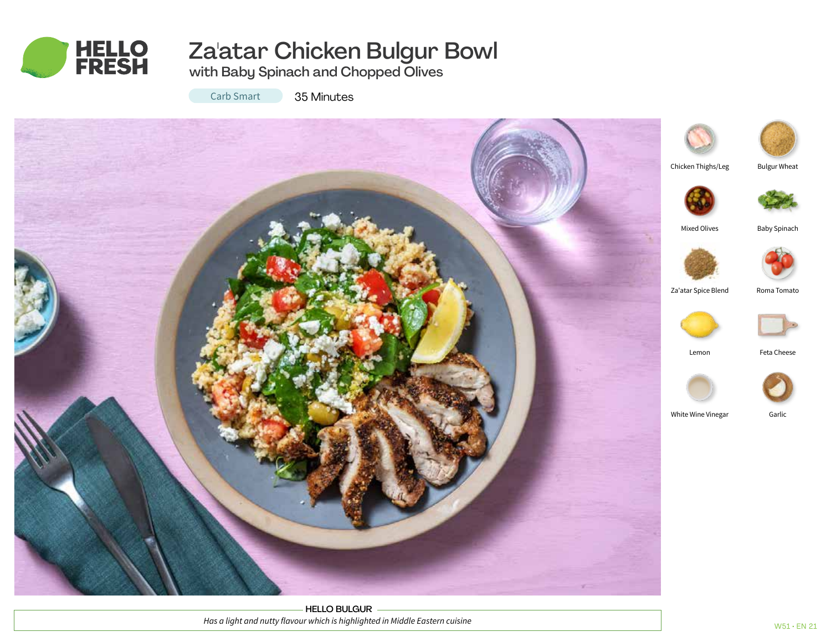

# Za'atar Chicken Bulgur Bowl

with Baby Spinach and Chopped Olives

Carb Smart

35 Minutes